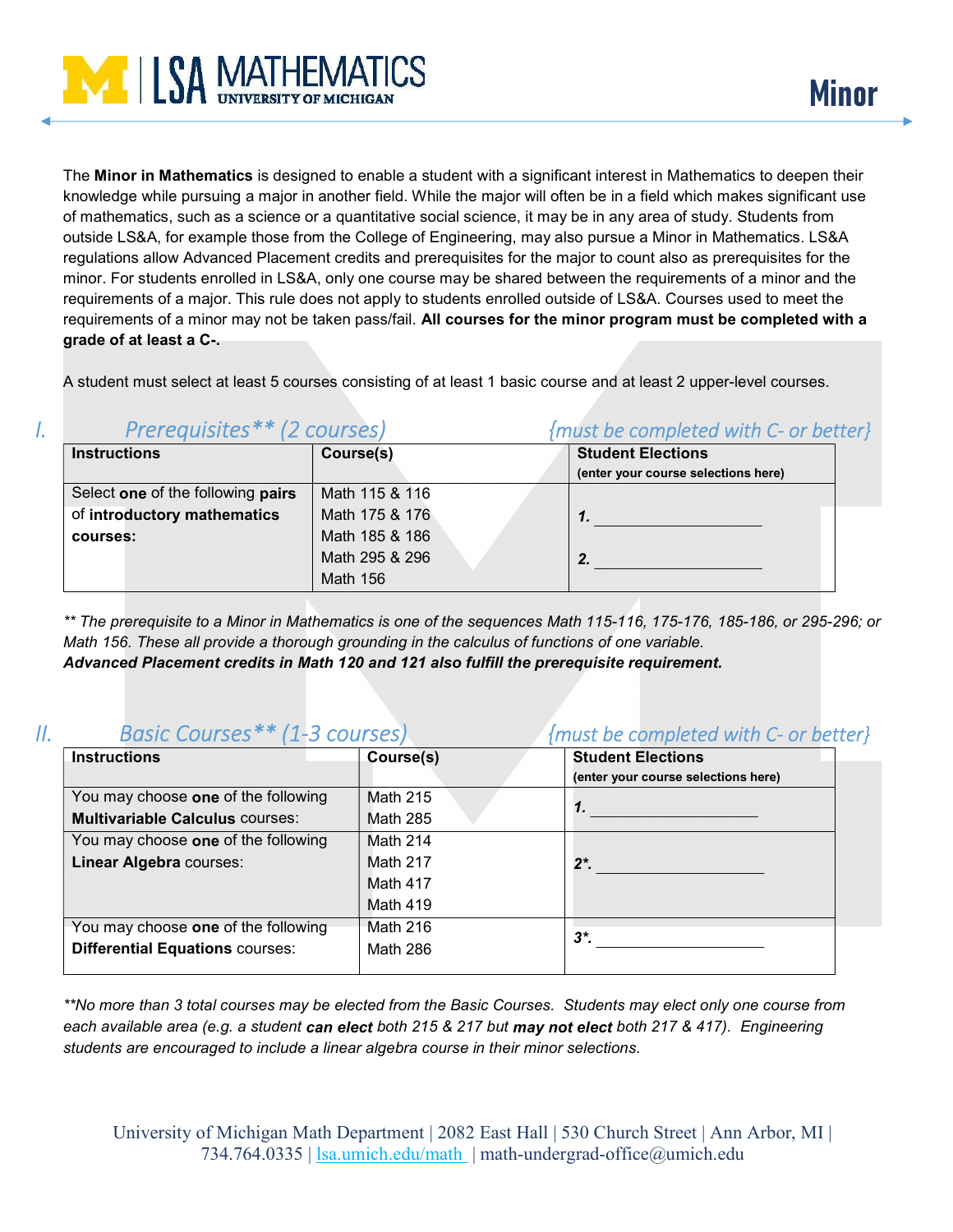

The Minor in Mathematics is designed to enable a student with a significant interest in Mathematics to deepen their knowledge while pursuing a major in another field. While the major will often be in a field which makes significant use of mathematics, such as a science or a quantitative social science, it may be in any area of study. Students from outside LS&A, for example those from the College of Engineering, may also pursue a Minor in Mathematics. LS&A regulations allow Advanced Placement credits and prerequisites for the major to count also as prerequisites for the minor. For students enrolled in LS&A, only one course may be shared between the requirements of a minor and the requirements of a major. This rule does not apply to students enrolled outside of LS&A. Courses used to meet the requirements of a minor may not be taken pass/fail. All courses for the minor program must be completed with a grade of at least a C-.

A student must select at least 5 courses consisting of at least 1 basic course and at least 2 upper-level courses.

| ι. | Prerequisites** (2 courses)       |                 | {must be completed with C- or better} |  |  |
|----|-----------------------------------|-----------------|---------------------------------------|--|--|
|    | <b>Instructions</b>               | Course(s)       | <b>Student Elections</b>              |  |  |
|    |                                   |                 | (enter your course selections here)   |  |  |
|    | Select one of the following pairs | Math 115 & 116  |                                       |  |  |
|    | of introductory mathematics       | Math 175 & 176  |                                       |  |  |
|    | courses:                          | Math 185 & 186  |                                       |  |  |
|    |                                   | Math 295 & 296  |                                       |  |  |
|    |                                   | <b>Math 156</b> |                                       |  |  |

\*\* The prerequisite to a Minor in Mathematics is one of the sequences Math 115-116, 175-176, 185-186, or 295-296; or Math 156. These all provide a thorough grounding in the calculus of functions of one variable. Advanced Placement credits in Math 120 and 121 also fulfill the prerequisite requirement.

## II. Basic Courses\*\* (1-3 courses) {must be completed with C- or better}

| <b>Instructions</b>                    | Course(s)       | <b>Student Elections</b>            |
|----------------------------------------|-----------------|-------------------------------------|
|                                        |                 | (enter your course selections here) |
| You may choose one of the following    | <b>Math 215</b> |                                     |
| <b>Multivariable Calculus courses:</b> | <b>Math 285</b> | 7.                                  |
| You may choose one of the following    | Math 214        |                                     |
| <b>Linear Algebra courses:</b>         | <b>Math 217</b> | $2^*$ .                             |
|                                        | Math 417        |                                     |
|                                        | <b>Math 419</b> |                                     |
| You may choose one of the following    | Math 216        | $3^*$                               |
| <b>Differential Equations courses:</b> | <b>Math 286</b> |                                     |
|                                        |                 |                                     |

\*\*No more than 3 total courses may be elected from the Basic Courses. Students may elect only one course from each available area (e.g. a student can elect both 215 & 217 but may not elect both 217 & 417). Engineering students are encouraged to include a linear algebra course in their minor selections.

University of Michigan Math Department | 2082 East Hall | 530 Church Street | Ann Arbor, MI | 734.764.0335 | lsa.umich.edu/math | math-undergrad-office@umich.edu